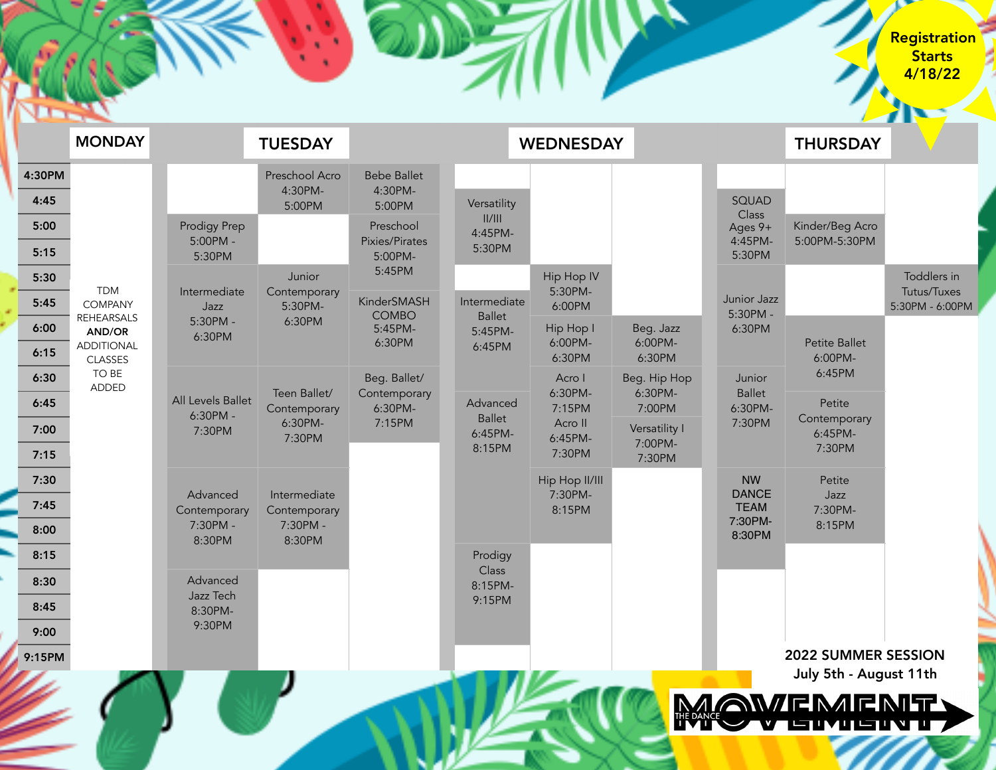| <b>TIME</b>  |                                                                                                                             | <b>STARK</b>                                                                          |                                                                                                  |                                                                                                       |                                                                                                                 |                                                             |                          |                                                        |                                             |                            |
|--------------|-----------------------------------------------------------------------------------------------------------------------------|---------------------------------------------------------------------------------------|--------------------------------------------------------------------------------------------------|-------------------------------------------------------------------------------------------------------|-----------------------------------------------------------------------------------------------------------------|-------------------------------------------------------------|--------------------------|--------------------------------------------------------|---------------------------------------------|----------------------------|
|              | <b>MONDAY</b>                                                                                                               |                                                                                       | <b>TUESDAY</b>                                                                                   |                                                                                                       |                                                                                                                 | <b>WEDNESDAY</b>                                            |                          |                                                        | <b>THURSDAY</b>                             |                            |
| 4:30PM       |                                                                                                                             |                                                                                       | Preschool Acro                                                                                   | <b>Bebe Ballet</b>                                                                                    |                                                                                                                 |                                                             |                          |                                                        |                                             |                            |
| 4:45         | <b>TDM</b><br><b>COMPANY</b><br><b>REHEARSALS</b><br>AND/OR<br><b>ADDITIONAL</b><br><b>CLASSES</b><br>TO BE<br><b>ADDED</b> |                                                                                       | 4:30PM-<br>5:00PM                                                                                | 4:30PM-<br>5:00PM                                                                                     | Versatility<br>  /   <br>4:45PM-<br>5:30PM                                                                      |                                                             |                          | SQUAD<br>Class                                         |                                             |                            |
| 5:00         |                                                                                                                             | Prodigy Prep<br>$5:00PM -$<br>5:30PM                                                  |                                                                                                  | Preschool<br>Pixies/Pirates<br>5:00PM-<br>5:45PM                                                      |                                                                                                                 |                                                             |                          | Ages 9+<br>4:45PM-                                     | Kinder/Beg Acro<br>5:00PM-5:30PM            |                            |
| 5:15         |                                                                                                                             |                                                                                       |                                                                                                  |                                                                                                       |                                                                                                                 |                                                             |                          | 5:30PM                                                 |                                             |                            |
| 5:30         |                                                                                                                             | Intermediate<br>Jazz<br>5:30PM -<br>6:30PM<br>All Levels Ballet<br>6:30PM -<br>7:30PM | Junior<br>Contemporary<br>5:30PM-<br>6:30PM<br>Teen Ballet/<br>Contemporary<br>6:30PM-<br>7:30PM |                                                                                                       | Intermediate<br><b>Ballet</b><br>5:45PM-<br>6:45PM<br>Advanced<br><b>Ballet</b><br>6:45PM-<br>8:15PM<br>Prodigy | Hip Hop IV<br>5:30PM-<br>6:00PM                             |                          |                                                        |                                             | Toddlers in<br>Tutus/Tuxes |
| 5:45         |                                                                                                                             |                                                                                       |                                                                                                  | KinderSMASH<br><b>COMBO</b><br>5:45PM-<br>6:30PM<br>Beg. Ballet/<br>Contemporary<br>6:30PM-<br>7:15PM |                                                                                                                 |                                                             | Junior Jazz<br>5:30PM -  |                                                        | 5:30PM - 6:00PM                             |                            |
| 6:00         |                                                                                                                             |                                                                                       |                                                                                                  |                                                                                                       |                                                                                                                 | Hip Hop I<br>6:00PM-                                        | Beg. Jazz<br>6:00PM-     | 6:30PM<br>Junior<br><b>Ballet</b><br>6:30PM-<br>7:30PM | Petite Ballet<br>6:00PM-<br>6:45PM          |                            |
| 6:15         |                                                                                                                             |                                                                                       |                                                                                                  |                                                                                                       |                                                                                                                 | 6:30PM                                                      | 6:30PM                   |                                                        |                                             |                            |
| 6:30         |                                                                                                                             |                                                                                       |                                                                                                  |                                                                                                       |                                                                                                                 | Acro I<br>6:30PM-<br>7:15PM<br>Acro II<br>6:45PM-<br>7:30PM | Beg. Hip Hop<br>6:30PM-  |                                                        |                                             |                            |
| 6:45         |                                                                                                                             |                                                                                       |                                                                                                  |                                                                                                       |                                                                                                                 |                                                             | 7:00PM                   |                                                        | Petite<br>Contemporary<br>6:45PM-<br>7:30PM |                            |
| 7:00<br>7:15 |                                                                                                                             |                                                                                       |                                                                                                  |                                                                                                       |                                                                                                                 |                                                             | Versatility I<br>7:00PM- |                                                        |                                             |                            |
| 7:30         |                                                                                                                             | Advanced<br>Contemporary<br>7:30PM -<br>8:30PM                                        | Intermediate<br>Contemporary<br>7:30PM -<br>8:30PM                                               |                                                                                                       |                                                                                                                 | Hip Hop II/III<br>7:30PM-<br>8:15PM                         | 7:30PM                   | <b>NW</b>                                              | Petite                                      |                            |
| 7:45         |                                                                                                                             |                                                                                       |                                                                                                  |                                                                                                       |                                                                                                                 |                                                             |                          | <b>DANCE</b><br><b>TEAM</b><br>7:30PM-<br>8:30PM       | Jazz<br>7:30PM-<br>8:15PM                   |                            |
| 8:00         |                                                                                                                             |                                                                                       |                                                                                                  |                                                                                                       |                                                                                                                 |                                                             |                          |                                                        |                                             |                            |
| 8:15         |                                                                                                                             |                                                                                       |                                                                                                  |                                                                                                       |                                                                                                                 |                                                             |                          |                                                        |                                             |                            |
| 8:30         |                                                                                                                             | Advanced<br>Jazz Tech<br>8:30PM-                                                      |                                                                                                  |                                                                                                       | Class<br>8:15PM-<br>9:15PM                                                                                      |                                                             |                          |                                                        |                                             |                            |
| 8:45         |                                                                                                                             |                                                                                       |                                                                                                  |                                                                                                       |                                                                                                                 |                                                             |                          |                                                        |                                             |                            |
| 9:00         |                                                                                                                             | 9:30PM                                                                                |                                                                                                  |                                                                                                       |                                                                                                                 |                                                             |                          |                                                        |                                             |                            |
| 9:15PM       |                                                                                                                             |                                                                                       |                                                                                                  |                                                                                                       |                                                                                                                 |                                                             |                          |                                                        | 2022 SUMMER SESSION                         |                            |



**RASH** Л.

 $\color{red} \blacktriangle$ 

**MENTY** ULIUN U 7

Registration Starts 4/18/22